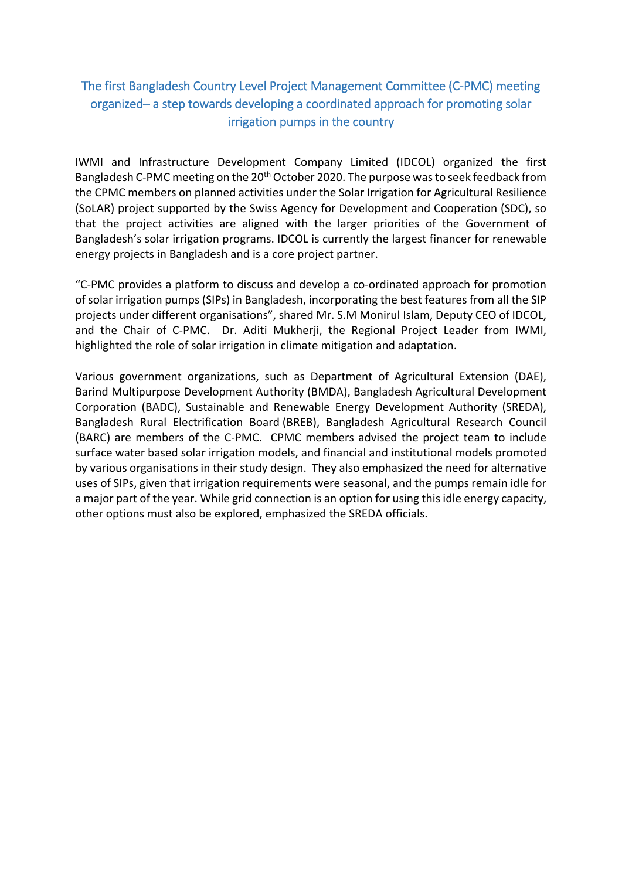## The first Bangladesh Country Level Project Management Committee (C‐PMC) meeting organized– a step towards developing a coordinated approach for promoting solar irrigation pumps in the country

IWMI and Infrastructure Development Company Limited (IDCOL) organized the first Bangladesh C-PMC meeting on the 20<sup>th</sup> October 2020. The purpose was to seek feedback from the CPMC members on planned activities under the Solar Irrigation for Agricultural Resilience (SoLAR) project supported by the Swiss Agency for Development and Cooperation (SDC), so that the project activities are aligned with the larger priorities of the Government of Bangladesh's solar irrigation programs. IDCOL is currently the largest financer for renewable energy projects in Bangladesh and is a core project partner.

"C‐PMC provides a platform to discuss and develop a co‐ordinated approach for promotion of solar irrigation pumps (SIPs) in Bangladesh, incorporating the best features from all the SIP projects under different organisations", shared Mr. S.M Monirul Islam, Deputy CEO of IDCOL, and the Chair of C-PMC. Dr. Aditi Mukherji, the Regional Project Leader from IWMI, highlighted the role of solar irrigation in climate mitigation and adaptation.

Various government organizations, such as Department of Agricultural Extension (DAE), Barind Multipurpose Development Authority (BMDA), Bangladesh Agricultural Development Corporation (BADC), Sustainable and Renewable Energy Development Authority (SREDA), Bangladesh Rural Electrification Board (BREB), Bangladesh Agricultural Research Council (BARC) are members of the C-PMC. CPMC members advised the project team to include surface water based solar irrigation models, and financial and institutional models promoted by various organisations in their study design. They also emphasized the need for alternative uses of SIPs, given that irrigation requirements were seasonal, and the pumps remain idle for a major part of the year. While grid connection is an option for using this idle energy capacity, other options must also be explored, emphasized the SREDA officials.